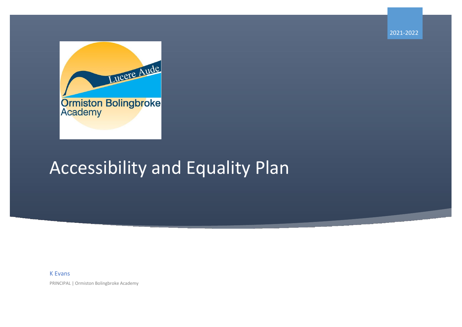2021-2022



## Accessibility and Equality Plan

## K Evans

PRINCIPAL | Ormiston Bolingbroke Academy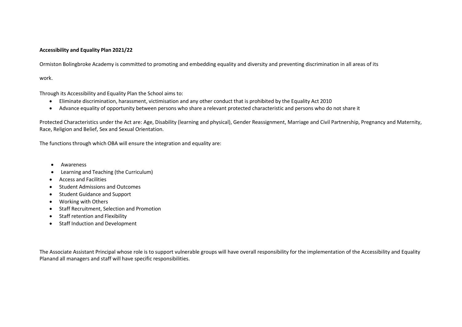## **Accessibility and Equality Plan 2021/22**

Ormiston Bolingbroke Academy is committed to promoting and embedding equality and diversity and preventing discrimination in all areas of its

work.

Through its Accessibility and Equality Plan the School aims to:

- Eliminate discrimination, harassment, victimisation and any other conduct that is prohibited by the Equality Act 2010
- Advance equality of opportunity between persons who share a relevant protected characteristic and persons who do not share it

Protected Characteristics under the Act are: Age, Disability (learning and physical), Gender Reassignment, Marriage and Civil Partnership, Pregnancy and Maternity, Race, Religion and Belief, Sex and Sexual Orientation.

The functions through which OBA will ensure the integration and equality are:

- Awareness
- Learning and Teaching (the Curriculum)
- Access and Facilities
- Student Admissions and Outcomes
- Student Guidance and Support
- Working with Others
- Staff Recruitment, Selection and Promotion
- Staff retention and Flexibility
- Staff Induction and Development

The Associate Assistant Principal whose role is to support vulnerable groups will have overall responsibility for the implementation of the Accessibility and Equality Planand all managers and staff will have specific responsibilities.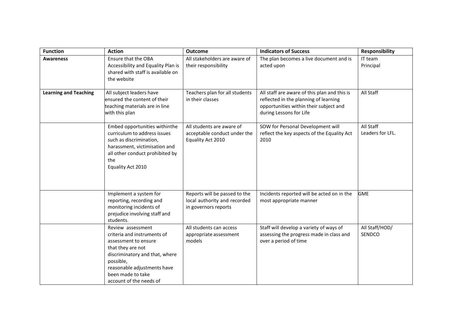| <b>Function</b>              | <b>Action</b>                                                                                                                                                                                                               | <b>Outcome</b>                                                                        | <b>Indicators of Success</b>                                                                                                                               | <b>Responsibility</b>         |
|------------------------------|-----------------------------------------------------------------------------------------------------------------------------------------------------------------------------------------------------------------------------|---------------------------------------------------------------------------------------|------------------------------------------------------------------------------------------------------------------------------------------------------------|-------------------------------|
| <b>Awareness</b>             | Ensure that the OBA<br>Accessibility and Equality Plan is<br>shared with staff is available on<br>the website                                                                                                               | All stakeholders are aware of<br>their responsibility                                 | The plan becomes a live document and is<br>acted upon                                                                                                      | IT team<br>Principal          |
| <b>Learning and Teaching</b> | All subject leaders have<br>ensured the content of their<br>teaching materials are in line<br>with this plan                                                                                                                | Teachers plan for all students<br>in their classes                                    | All staff are aware of this plan and this is<br>reflected in the planning of learning<br>opportunities within their subject and<br>during Lessons for Life | All Staff                     |
|                              | Embed opportunities withinthe<br>curriculum to address issues<br>such as discrimination,<br>harassment, victimisation and<br>all other conduct prohibited by<br>the<br>Equality Act 2010                                    | All students are aware of<br>acceptable conduct under the<br>Equality Act 2010        | SOW for Personal Development will<br>reflect the key aspects of the Equality Act<br>2010                                                                   | All Staff<br>Leaders for LFL. |
|                              | Implement a system for<br>reporting, recording and<br>monitoring incidents of<br>prejudice involving staff and<br>students.                                                                                                 | Reports will be passed to the<br>local authority and recorded<br>in governors reports | Incidents reported will be acted on in the<br>most appropriate manner                                                                                      | <b>GME</b>                    |
|                              | Review assessment<br>criteria and instruments of<br>assessment to ensure<br>that they are not<br>discriminatory and that, where<br>possible,<br>reasonable adjustments have<br>been made to take<br>account of the needs of | All students can access<br>appropriate assessment<br>models                           | Staff will develop a variety of ways of<br>assessing the progress made in class and<br>over a period of time                                               | All Staff/HOD/<br>SENDCO      |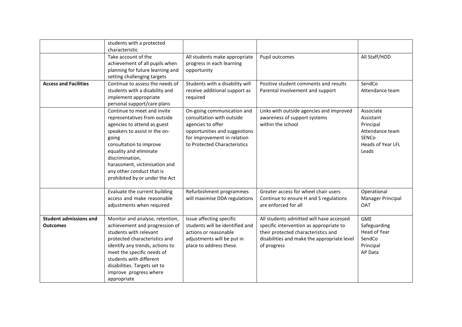|                                                  | students with a protected<br>characteristic                                                                                                                                                                                                                                                                  |                                                                                                                                                                              |                                                                                                                                                                                          |                                                                                                             |
|--------------------------------------------------|--------------------------------------------------------------------------------------------------------------------------------------------------------------------------------------------------------------------------------------------------------------------------------------------------------------|------------------------------------------------------------------------------------------------------------------------------------------------------------------------------|------------------------------------------------------------------------------------------------------------------------------------------------------------------------------------------|-------------------------------------------------------------------------------------------------------------|
|                                                  | Take account of the<br>achievement of all pupils when<br>planning for future learning and<br>setting challenging targets                                                                                                                                                                                     | All students make appropriate<br>progress in each learning<br>opportunity                                                                                                    | Pupil outcomes                                                                                                                                                                           | All Staff/HOD                                                                                               |
| <b>Access and Facilities</b>                     | Continue to assess the needs of<br>students with a disability and<br>implement appropriate<br>personal support/care plans                                                                                                                                                                                    | Students with a disability will<br>receive additional support as<br>required                                                                                                 | Positive student comments and results<br>Parental involvement and support                                                                                                                | SendCo<br>Attendance team                                                                                   |
|                                                  | Continue to meet and invite<br>representatives from outside<br>agencies to attend as guest<br>speakers to assist in the on-<br>going<br>consultation to improve<br>equality and eliminate<br>discrimination,<br>harassment, victimisation and<br>any other conduct that is<br>prohibited by or under the Act | On-going communication and<br>consultation with outside<br>agencies to offer<br>opportunities and suggestions<br>for improvement in relation<br>to Protected Characteristics | Links with outside agencies and improved<br>awareness of support systems<br>within the school                                                                                            | Associate<br>Assistant<br>Principal<br>Attendance team<br><b>SENCo</b><br><b>Heads of Year LFL</b><br>Leads |
|                                                  | Evaluate the current building<br>access and make reasonable<br>adjustments when required                                                                                                                                                                                                                     | Refurbishment programmes<br>will maximise DDA regulations                                                                                                                    | Greater access for wheel chair users<br>Continue to ensure H and S regulations<br>are enforced for all                                                                                   | Operational<br>Manager Principal<br><b>OAT</b>                                                              |
| <b>Student admissions and</b><br><b>Outcomes</b> | Monitor and analyse, retention,<br>achievement and progression of<br>students with relevant<br>protected characteristics and<br>identify any trends, actions to<br>meet the specific needs of<br>students with different<br>disabilities. Targets set to<br>improve progress where<br>appropriate            | Issue affecting specific<br>students will be identified and<br>actions or reasonable<br>adjustments will be put in<br>place to address these.                                | All students admitted will have accessed<br>specific intervention as appropriate to<br>their protected characteristics and<br>disabilities and make the appropriate level<br>of progress | <b>GME</b><br>Safeguarding<br>Head of Year<br>SendCo<br>Principal<br>AP Data                                |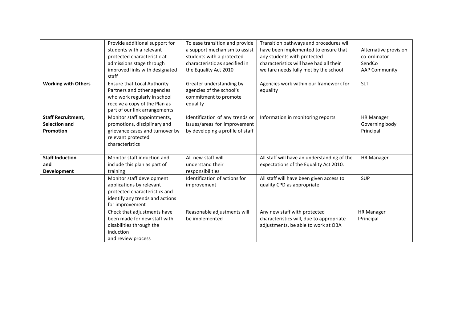|                            | Provide additional support for     | To ease transition and provide   | Transition pathways and procedures will     |                       |
|----------------------------|------------------------------------|----------------------------------|---------------------------------------------|-----------------------|
|                            | students with a relevant           | a support mechanism to assist    | have been implemented to ensure that        | Alternative provision |
|                            | protected characteristic at        | students with a protected        | any students with protected                 | co-ordinator          |
|                            | admissions stage through           | characteristic as specified in   | characteristics will have had all their     | SendCo                |
|                            | improved links with designated     | the Equality Act 2010            | welfare needs fully met by the school       | <b>AAP Community</b>  |
|                            | staff                              |                                  |                                             |                       |
| <b>Working with Others</b> | <b>Ensure that Local Authority</b> | Greater understanding by         | Agencies work within our framework for      | <b>SLT</b>            |
|                            | Partners and other agencies        | agencies of the school's         | equality                                    |                       |
|                            | who work regularly in school       | commitment to promote            |                                             |                       |
|                            | receive a copy of the Plan as      | equality                         |                                             |                       |
|                            | part of our link arrangements      |                                  |                                             |                       |
| <b>Staff Recruitment,</b>  | Monitor staff appointments,        | Identification of any trends or  | Information in monitoring reports           | <b>HR Manager</b>     |
| <b>Selection and</b>       | promotions, disciplinary and       | issues/areas for improvement     |                                             | Governing body        |
| Promotion                  | grievance cases and turnover by    | by developing a profile of staff |                                             | Principal             |
|                            | relevant protected                 |                                  |                                             |                       |
|                            | characteristics                    |                                  |                                             |                       |
|                            |                                    |                                  |                                             |                       |
| <b>Staff Induction</b>     | Monitor staff induction and        | All new staff will               | All staff will have an understanding of the | <b>HR Manager</b>     |
| and                        | include this plan as part of       | understand their                 | expectations of the Equality Act 2010.      |                       |
| Development                | training                           | responsibilities                 |                                             |                       |
|                            | Monitor staff development          | Identification of actions for    | All staff will have been given access to    | <b>SUP</b>            |
|                            | applications by relevant           | improvement                      | quality CPD as appropriate                  |                       |
|                            | protected characteristics and      |                                  |                                             |                       |
|                            | identify any trends and actions    |                                  |                                             |                       |
|                            | for improvement                    |                                  |                                             |                       |
|                            | Check that adjustments have        | Reasonable adjustments will      | Any new staff with protected                | <b>HR Manager</b>     |
|                            | been made for new staff with       | be implemented                   | characteristics will, due to appropriate    | <b>IPrincipal</b>     |
|                            | disabilities through the           |                                  | adjustments, be able to work at OBA         |                       |
|                            | induction                          |                                  |                                             |                       |
|                            | and review process                 |                                  |                                             |                       |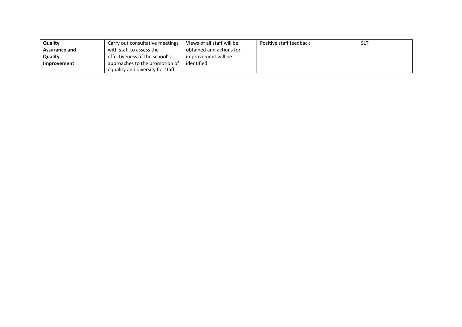| Quality              | Carry out consultative meetings  | Views of all staff will be | Positive staff feedback | <b>SLT</b> |
|----------------------|----------------------------------|----------------------------|-------------------------|------------|
| <b>Assurance and</b> | with staff to assess the         | obtained and actions for   |                         |            |
| Quality              | effectiveness of the school's    | improvement will be        |                         |            |
| Improvement          | approaches to the promotion of   | identified                 |                         |            |
|                      | equality and diversity for staff |                            |                         |            |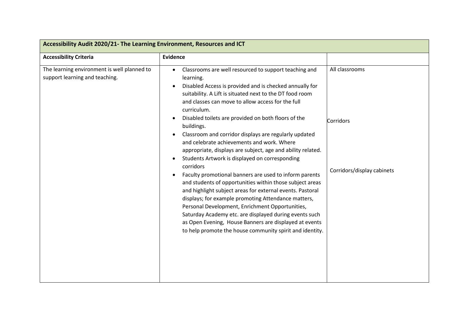| Accessibility Audit 2020/21- The Learning Environment, Resources and ICT      |                                                                                                                                                                                                                                                                                                                                                                                                                                                                                                                                                                                                                                                                                                                                                                                                                                                                                                                                                                                                                                                      |                                                           |  |
|-------------------------------------------------------------------------------|------------------------------------------------------------------------------------------------------------------------------------------------------------------------------------------------------------------------------------------------------------------------------------------------------------------------------------------------------------------------------------------------------------------------------------------------------------------------------------------------------------------------------------------------------------------------------------------------------------------------------------------------------------------------------------------------------------------------------------------------------------------------------------------------------------------------------------------------------------------------------------------------------------------------------------------------------------------------------------------------------------------------------------------------------|-----------------------------------------------------------|--|
| <b>Accessibility Criteria</b>                                                 | <b>Evidence</b>                                                                                                                                                                                                                                                                                                                                                                                                                                                                                                                                                                                                                                                                                                                                                                                                                                                                                                                                                                                                                                      |                                                           |  |
| The learning environment is well planned to<br>support learning and teaching. | Classrooms are well resourced to support teaching and<br>learning.<br>Disabled Access is provided and is checked annually for<br>suitability. A Lift is situated next to the DT food room<br>and classes can move to allow access for the full<br>curriculum.<br>Disabled toilets are provided on both floors of the<br>buildings.<br>Classroom and corridor displays are regularly updated<br>and celebrate achievements and work. Where<br>appropriate, displays are subject, age and ability related.<br>Students Artwork is displayed on corresponding<br>corridors<br>Faculty promotional banners are used to inform parents<br>and students of opportunities within those subject areas<br>and highlight subject areas for external events. Pastoral<br>displays; for example promoting Attendance matters,<br>Personal Development, Enrichment Opportunities,<br>Saturday Academy etc. are displayed during events such<br>as Open Evening, House Banners are displayed at events<br>to help promote the house community spirit and identity. | All classrooms<br>Corridors<br>Corridors/display cabinets |  |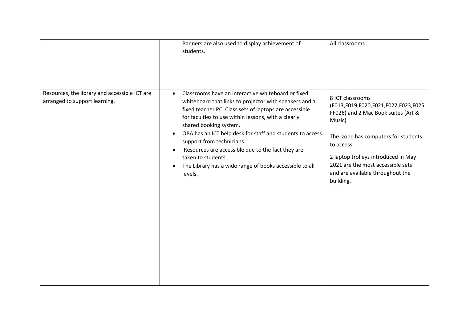|                                                                                | Banners are also used to display achievement of<br>students.                                                                                                                                                                                                                                                                                                                                                                                                                                                                              | All classrooms                                                                                                                                                                                                                                                                               |
|--------------------------------------------------------------------------------|-------------------------------------------------------------------------------------------------------------------------------------------------------------------------------------------------------------------------------------------------------------------------------------------------------------------------------------------------------------------------------------------------------------------------------------------------------------------------------------------------------------------------------------------|----------------------------------------------------------------------------------------------------------------------------------------------------------------------------------------------------------------------------------------------------------------------------------------------|
| Resources, the library and accessible ICT are<br>arranged to support learning. | Classrooms have an interactive whiteboard or fixed<br>$\bullet$<br>whiteboard that links to projector with speakers and a<br>fixed teacher PC. Class sets of laptops are accessible<br>for faculties to use within lessons, with a clearly<br>shared booking system.<br>OBA has an ICT help desk for staff and students to access<br>$\bullet$<br>support from technicians.<br>Resources are accessible due to the fact they are<br>taken to students.<br>The Library has a wide range of books accessible to all<br>$\bullet$<br>levels. | 8 ICT classrooms<br>(F013,F019,F020,F021,F022,F023,F025,<br>FF026) and 2 Mac Book suites (Art &<br>Music)<br>The izone has computers for students<br>to access.<br>2 laptop trolleys introduced in May<br>2021 are the most accessible sets<br>and are available throughout the<br>building. |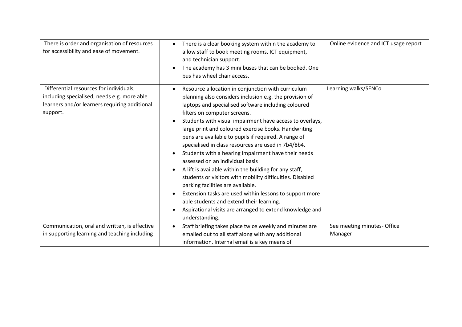| There is order and organisation of resources<br>for accessibility and ease of movement.                                                             | There is a clear booking system within the academy to<br>allow staff to book meeting rooms, ICT equipment,<br>and technician support.<br>The academy has 3 mini buses that can be booked. One<br>bus has wheel chair access.                                                                                                                                                                                                                                                                                                                                                                                                                                                                                                                                                                                                                                                       | Online evidence and ICT usage report |
|-----------------------------------------------------------------------------------------------------------------------------------------------------|------------------------------------------------------------------------------------------------------------------------------------------------------------------------------------------------------------------------------------------------------------------------------------------------------------------------------------------------------------------------------------------------------------------------------------------------------------------------------------------------------------------------------------------------------------------------------------------------------------------------------------------------------------------------------------------------------------------------------------------------------------------------------------------------------------------------------------------------------------------------------------|--------------------------------------|
| Differential resources for individuals,<br>including specialised, needs e.g. more able<br>learners and/or learners requiring additional<br>support. | Resource allocation in conjunction with curriculum<br>planning also considers inclusion e.g. the provision of<br>laptops and specialised software including coloured<br>filters on computer screens.<br>Students with visual impairment have access to overlays,<br>large print and coloured exercise books. Handwriting<br>pens are available to pupils if required. A range of<br>specialised in class resources are used in 7b4/8b4.<br>Students with a hearing impairment have their needs<br>assessed on an individual basis<br>A lift is available within the building for any staff,<br>students or visitors with mobility difficulties. Disabled<br>parking facilities are available.<br>Extension tasks are used within lessons to support more<br>able students and extend their learning.<br>Aspirational visits are arranged to extend knowledge and<br>understanding. | Learning walks/SENCo                 |
| Communication, oral and written, is effective                                                                                                       | Staff briefing takes place twice weekly and minutes are                                                                                                                                                                                                                                                                                                                                                                                                                                                                                                                                                                                                                                                                                                                                                                                                                            | See meeting minutes- Office          |
| in supporting learning and teaching including                                                                                                       | emailed out to all staff along with any additional<br>information. Internal email is a key means of                                                                                                                                                                                                                                                                                                                                                                                                                                                                                                                                                                                                                                                                                                                                                                                | Manager                              |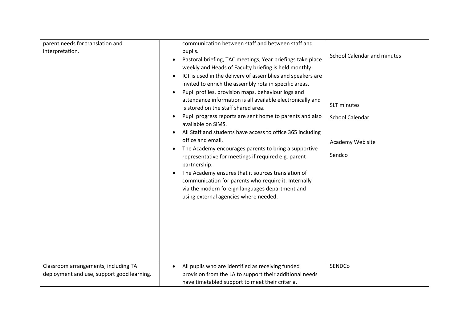| parent needs for translation and<br>interpretation.<br>Classroom arrangements, including TA | communication between staff and between staff and<br>pupils.<br>Pastoral briefing, TAC meetings, Year briefings take place<br>$\bullet$<br>weekly and Heads of Faculty briefing is held monthly.<br>ICT is used in the delivery of assemblies and speakers are<br>$\bullet$<br>invited to enrich the assembly rota in specific areas.<br>Pupil profiles, provision maps, behaviour logs and<br>$\bullet$<br>attendance information is all available electronically and<br>is stored on the staff shared area.<br>Pupil progress reports are sent home to parents and also<br>$\bullet$<br>available on SIMS.<br>All Staff and students have access to office 365 including<br>office and email.<br>The Academy encourages parents to bring a supportive<br>representative for meetings if required e.g. parent<br>partnership.<br>The Academy ensures that it sources translation of<br>$\bullet$<br>communication for parents who require it. Internally<br>via the modern foreign languages department and<br>using external agencies where needed.<br>All pupils who are identified as receiving funded<br>$\bullet$ | <b>School Calendar and minutes</b><br><b>SLT</b> minutes<br>School Calendar<br>Academy Web site<br>Sendco<br>SENDCo |
|---------------------------------------------------------------------------------------------|-------------------------------------------------------------------------------------------------------------------------------------------------------------------------------------------------------------------------------------------------------------------------------------------------------------------------------------------------------------------------------------------------------------------------------------------------------------------------------------------------------------------------------------------------------------------------------------------------------------------------------------------------------------------------------------------------------------------------------------------------------------------------------------------------------------------------------------------------------------------------------------------------------------------------------------------------------------------------------------------------------------------------------------------------------------------------------------------------------------------------|---------------------------------------------------------------------------------------------------------------------|
| deployment and use, support good learning.                                                  | provision from the LA to support their additional needs<br>have timetabled support to meet their criteria.                                                                                                                                                                                                                                                                                                                                                                                                                                                                                                                                                                                                                                                                                                                                                                                                                                                                                                                                                                                                              |                                                                                                                     |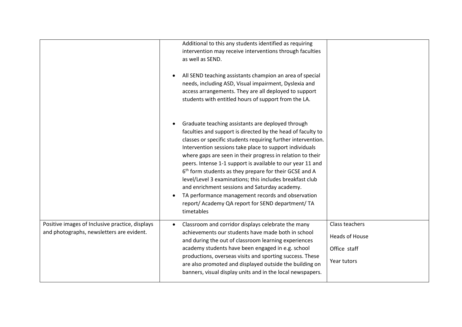|                                                                                              | Additional to this any students identified as requiring<br>intervention may receive interventions through faculties<br>as well as SEND.<br>All SEND teaching assistants champion an area of special<br>needs, including ASD, Visual impairment, Dyslexia and<br>access arrangements. They are all deployed to support<br>students with entitled hours of support from the LA.                                                                                                                                                                                                                                                                                                      |                                                                        |
|----------------------------------------------------------------------------------------------|------------------------------------------------------------------------------------------------------------------------------------------------------------------------------------------------------------------------------------------------------------------------------------------------------------------------------------------------------------------------------------------------------------------------------------------------------------------------------------------------------------------------------------------------------------------------------------------------------------------------------------------------------------------------------------|------------------------------------------------------------------------|
|                                                                                              | Graduate teaching assistants are deployed through<br>faculties and support is directed by the head of faculty to<br>classes or specific students requiring further intervention.<br>Intervention sessions take place to support individuals<br>where gaps are seen in their progress in relation to their<br>peers. Intense 1-1 support is available to our year 11 and<br>6 <sup>th</sup> form students as they prepare for their GCSE and A<br>level/Level 3 examinations; this includes breakfast club<br>and enrichment sessions and Saturday academy.<br>TA performance management records and observation<br>report/ Academy QA report for SEND department/ TA<br>timetables |                                                                        |
| Positive images of Inclusive practice, displays<br>and photographs, newsletters are evident. | Classroom and corridor displays celebrate the many<br>achievements our students have made both in school<br>and during the out of classroom learning experiences<br>academy students have been engaged in e.g. school<br>productions, overseas visits and sporting success. These<br>are also promoted and displayed outside the building on<br>banners, visual display units and in the local newspapers.                                                                                                                                                                                                                                                                         | Class teachers<br><b>Heads of House</b><br>Office staff<br>Year tutors |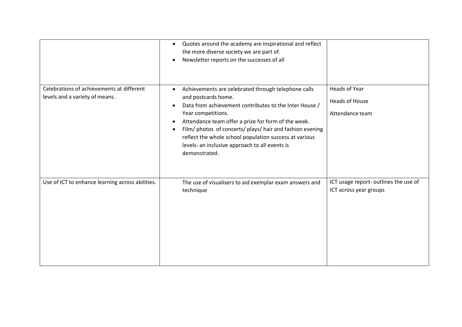|                                                                             | Quotes around the academy are inspirational and reflect<br>$\bullet$<br>the more diverse society we are part of.<br>Newsletter reports on the successes of all                                                                                                                                                                                                                                                           |                                                                  |
|-----------------------------------------------------------------------------|--------------------------------------------------------------------------------------------------------------------------------------------------------------------------------------------------------------------------------------------------------------------------------------------------------------------------------------------------------------------------------------------------------------------------|------------------------------------------------------------------|
| Celebrations of achievements at different<br>levels and a variety of means. | Achievements are celebrated through telephone calls<br>and postcards home.<br>Data from achievement contributes to the Inter House /<br>Year competitions.<br>Attendance team offer a prize for form of the week.<br>$\bullet$<br>Film/ photos of concerts/ plays/ hair and fashion evening<br>reflect the whole school population success at various<br>levels- an inclusive approach to all events is<br>demonstrated. | <b>Heads of Year</b><br><b>Heads of House</b><br>Attendance team |
| Use of ICT to enhance learning across abilities.                            | The use of visualisers to aid exemplar exam answers and<br>technique                                                                                                                                                                                                                                                                                                                                                     | ICT usage report- outlines the use of<br>ICT across year groups  |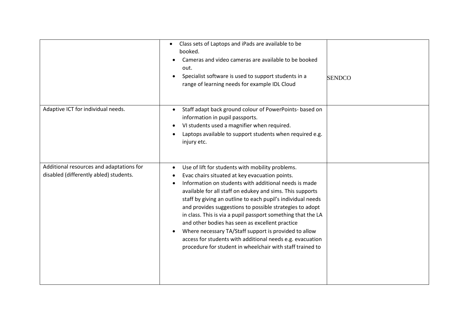|                                                                                    | Class sets of Laptops and iPads are available to be<br>$\bullet$<br>booked.<br>Cameras and video cameras are available to be booked<br>out.<br>Specialist software is used to support students in a<br>range of learning needs for example IDL Cloud                                                                                                                                                                                                                                                                                                                                                                                                                   | <b>SENDCO</b> |
|------------------------------------------------------------------------------------|------------------------------------------------------------------------------------------------------------------------------------------------------------------------------------------------------------------------------------------------------------------------------------------------------------------------------------------------------------------------------------------------------------------------------------------------------------------------------------------------------------------------------------------------------------------------------------------------------------------------------------------------------------------------|---------------|
| Adaptive ICT for individual needs.                                                 | Staff adapt back ground colour of PowerPoints- based on<br>$\bullet$<br>information in pupil passports.<br>VI students used a magnifier when required.<br>$\bullet$<br>Laptops available to support students when required e.g.<br>injury etc.                                                                                                                                                                                                                                                                                                                                                                                                                         |               |
| Additional resources and adaptations for<br>disabled (differently abled) students. | Use of lift for students with mobility problems.<br>Evac chairs situated at key evacuation points.<br>Information on students with additional needs is made<br>available for all staff on edukey and sims. This supports<br>staff by giving an outline to each pupil's individual needs<br>and provides suggestions to possible strategies to adopt<br>in class. This is via a pupil passport something that the LA<br>and other bodies has seen as excellent practice<br>Where necessary TA/Staff support is provided to allow<br>$\bullet$<br>access for students with additional needs e.g. evacuation<br>procedure for student in wheelchair with staff trained to |               |